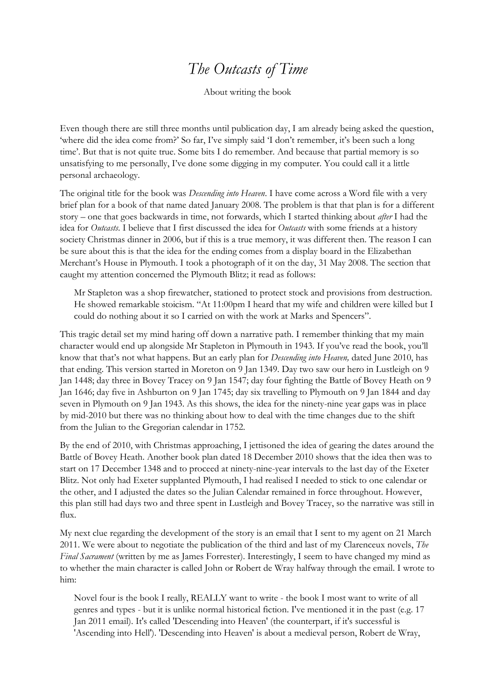## *The Outcasts of Time*

About writing the book

Even though there are still three months until publication day, I am already being asked the question, 'where did the idea come from?' So far, I've simply said 'I don't remember, it's been such a long time'. But that is not quite true. Some bits I do remember. And because that partial memory is so unsatisfying to me personally, I've done some digging in my computer. You could call it a little personal archaeology.

The original title for the book was *Descending into Heaven*. I have come across a Word file with a very brief plan for a book of that name dated January 2008. The problem is that that plan is for a different story – one that goes backwards in time, not forwards, which I started thinking about *after* I had the idea for *Outcasts*. I believe that I first discussed the idea for *Outcasts* with some friends at a history society Christmas dinner in 2006, but if this is a true memory, it was different then. The reason I can be sure about this is that the idea for the ending comes from a display board in the Elizabethan Merchant's House in Plymouth. I took a photograph of it on the day, 31 May 2008. The section that caught my attention concerned the Plymouth Blitz; it read as follows:

Mr Stapleton was a shop firewatcher, stationed to protect stock and provisions from destruction. He showed remarkable stoicism. "At 11:00pm I heard that my wife and children were killed but I could do nothing about it so I carried on with the work at Marks and Spencers".

This tragic detail set my mind haring off down a narrative path. I remember thinking that my main character would end up alongside Mr Stapleton in Plymouth in 1943. If you've read the book, you'll know that that's not what happens. But an early plan for *Descending into Heaven,* dated June 2010, has that ending. This version started in Moreton on 9 Jan 1349. Day two saw our hero in Lustleigh on 9 Jan 1448; day three in Bovey Tracey on 9 Jan 1547; day four fighting the Battle of Bovey Heath on 9 Jan 1646; day five in Ashburton on 9 Jan 1745; day six travelling to Plymouth on 9 Jan 1844 and day seven in Plymouth on 9 Jan 1943. As this shows, the idea for the ninety-nine year gaps was in place by mid-2010 but there was no thinking about how to deal with the time changes due to the shift from the Julian to the Gregorian calendar in 1752.

By the end of 2010, with Christmas approaching, I jettisoned the idea of gearing the dates around the Battle of Bovey Heath. Another book plan dated 18 December 2010 shows that the idea then was to start on 17 December 1348 and to proceed at ninety-nine-year intervals to the last day of the Exeter Blitz. Not only had Exeter supplanted Plymouth, I had realised I needed to stick to one calendar or the other, and I adjusted the dates so the Julian Calendar remained in force throughout. However, this plan still had days two and three spent in Lustleigh and Bovey Tracey, so the narrative was still in flux.

My next clue regarding the development of the story is an email that I sent to my agent on 21 March 2011. We were about to negotiate the publication of the third and last of my Clarenceux novels, *The Final Sacrament* (written by me as James Forrester). Interestingly, I seem to have changed my mind as to whether the main character is called John or Robert de Wray halfway through the email. I wrote to him:

Novel four is the book I really, REALLY want to write - the book I most want to write of all genres and types - but it is unlike normal historical fiction. I've mentioned it in the past (e.g. 17 Jan 2011 email). It's called 'Descending into Heaven' (the counterpart, if it's successful is 'Ascending into Hell'). 'Descending into Heaven' is about a medieval person, Robert de Wray,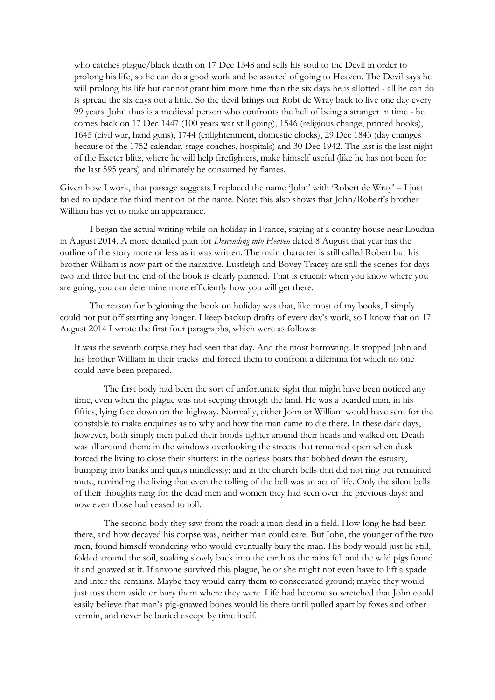who catches plague/black death on 17 Dec 1348 and sells his soul to the Devil in order to prolong his life, so he can do a good work and be assured of going to Heaven. The Devil says he will prolong his life but cannot grant him more time than the six days he is allotted - all he can do is spread the six days out a little. So the devil brings our Robt de Wray back to live one day every 99 years. John thus is a medieval person who confronts the hell of being a stranger in time - he comes back on 17 Dec 1447 (100 years war still going), 1546 (religious change, printed books), 1645 (civil war, hand guns), 1744 (enlightenment, domestic clocks), 29 Dec 1843 (day changes because of the 1752 calendar, stage coaches, hospitals) and 30 Dec 1942. The last is the last night of the Exeter blitz, where he will help firefighters, make himself useful (like he has not been for the last 595 years) and ultimately be consumed by flames.

Given how I work, that passage suggests I replaced the name 'John' with 'Robert de Wray' – I just failed to update the third mention of the name. Note: this also shows that John/Robert's brother William has yet to make an appearance.

I began the actual writing while on holiday in France, staying at a country house near Loudun in August 2014. A more detailed plan for *Descending into Heaven* dated 8 August that year has the outline of the story more or less as it was written. The main character is still called Robert but his brother William is now part of the narrative. Lustleigh and Bovey Tracey are still the scenes for days two and three but the end of the book is clearly planned. That is crucial: when you know where you are going, you can determine more efficiently how you will get there.

The reason for beginning the book on holiday was that, like most of my books, I simply could not put off starting any longer. I keep backup drafts of every day's work, so I know that on 17 August 2014 I wrote the first four paragraphs, which were as follows:

It was the seventh corpse they had seen that day. And the most harrowing. It stopped John and his brother William in their tracks and forced them to confront a dilemma for which no one could have been prepared.

The first body had been the sort of unfortunate sight that might have been noticed any time, even when the plague was not seeping through the land. He was a bearded man, in his fifties, lying face down on the highway. Normally, either John or William would have sent for the constable to make enquiries as to why and how the man came to die there. In these dark days, however, both simply men pulled their hoods tighter around their heads and walked on. Death was all around them: in the windows overlooking the streets that remained open when dusk forced the living to close their shutters; in the oarless boats that bobbed down the estuary, bumping into banks and quays mindlessly; and in the church bells that did not ring but remained mute, reminding the living that even the tolling of the bell was an act of life. Only the silent bells of their thoughts rang for the dead men and women they had seen over the previous days: and now even those had ceased to toll.

The second body they saw from the road: a man dead in a field. How long he had been there, and how decayed his corpse was, neither man could care. But John, the younger of the two men, found himself wondering who would eventually bury the man. His body would just lie still, folded around the soil, soaking slowly back into the earth as the rains fell and the wild pigs found it and gnawed at it. If anyone survived this plague, he or she might not even have to lift a spade and inter the remains. Maybe they would carry them to consecrated ground; maybe they would just toss them aside or bury them where they were. Life had become so wretched that John could easily believe that man's pig-gnawed bones would lie there until pulled apart by foxes and other vermin, and never be buried except by time itself.